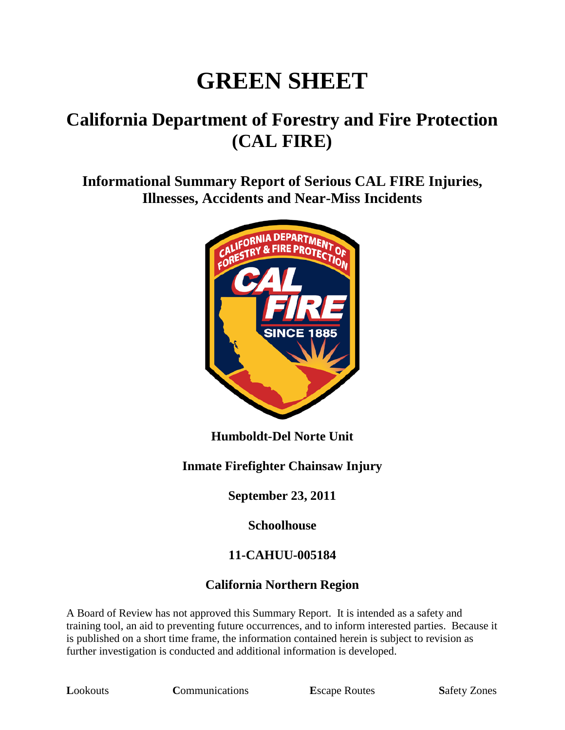# **GREEN SHEET**

# **California Department of Forestry and Fire Protection (CAL FIRE)**

**Informational Summary Report of Serious CAL FIRE Injuries, Illnesses, Accidents and Near-Miss Incidents**



**Humboldt-Del Norte Unit**

### **Inmate Firefighter Chainsaw Injury**

**September 23, 2011**

**Schoolhouse**

### **11-CAHUU-005184**

### **California Northern Region**

A Board of Review has not approved this Summary Report. It is intended as a safety and training tool, an aid to preventing future occurrences, and to inform interested parties. Because it is published on a short time frame, the information contained herein is subject to revision as further investigation is conducted and additional information is developed.

**Lookouts Communications E**scape Routes **Safety Zones**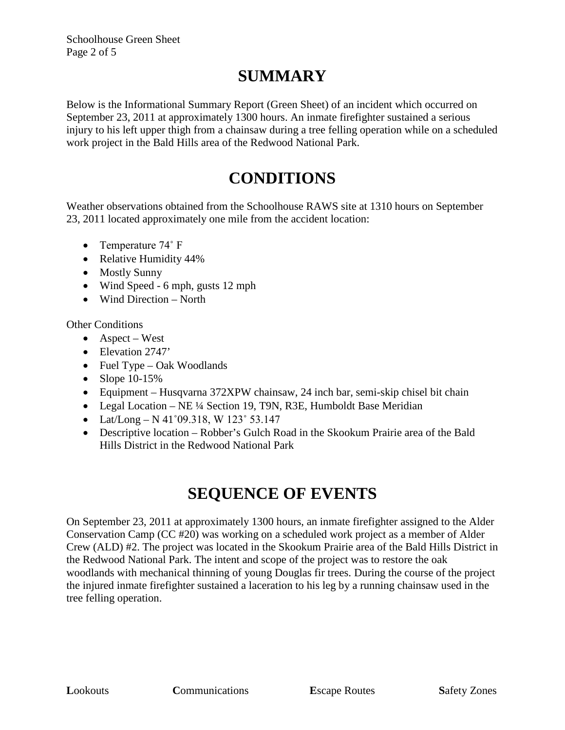Schoolhouse Green Sheet Page 2 of 5

# **SUMMARY**

Below is the Informational Summary Report (Green Sheet) of an incident which occurred on September 23, 2011 at approximately 1300 hours. An inmate firefighter sustained a serious injury to his left upper thigh from a chainsaw during a tree felling operation while on a scheduled work project in the Bald Hills area of the Redwood National Park.

# **CONDITIONS**

Weather observations obtained from the Schoolhouse RAWS site at 1310 hours on September 23, 2011 located approximately one mile from the accident location:

- Temperature 74° F
- Relative Humidity 44%
- Mostly Sunny
- Wind Speed 6 mph, gusts 12 mph
- Wind Direction North

Other Conditions

- Aspect West
- Elevation 2747'
- Fuel Type Oak Woodlands
- Slope 10-15%
- Equipment Husqvarna 372XPW chainsaw, 24 inch bar, semi-skip chisel bit chain
- Legal Location NE ¼ Section 19, T9N, R3E, Humboldt Base Meridian
- Lat/Long N 41 $^{\circ}$ 09.318, W 123 $^{\circ}$  53.147
- Descriptive location Robber's Gulch Road in the Skookum Prairie area of the Bald Hills District in the Redwood National Park

## **SEQUENCE OF EVENTS**

On September 23, 2011 at approximately 1300 hours, an inmate firefighter assigned to the Alder Conservation Camp (CC #20) was working on a scheduled work project as a member of Alder Crew (ALD) #2. The project was located in the Skookum Prairie area of the Bald Hills District in the Redwood National Park. The intent and scope of the project was to restore the oak woodlands with mechanical thinning of young Douglas fir trees. During the course of the project the injured inmate firefighter sustained a laceration to his leg by a running chainsaw used in the tree felling operation.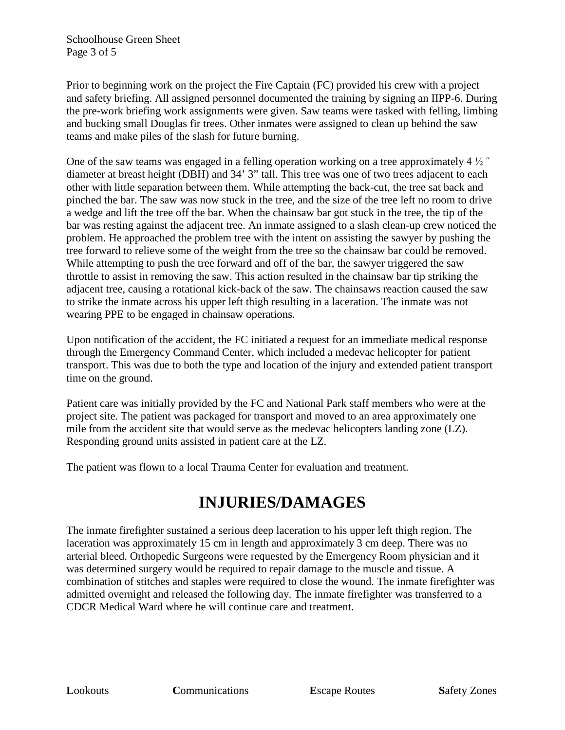Prior to beginning work on the project the Fire Captain (FC) provided his crew with a project and safety briefing. All assigned personnel documented the training by signing an IIPP-6. During the pre-work briefing work assignments were given. Saw teams were tasked with felling, limbing and bucking small Douglas fir trees. Other inmates were assigned to clean up behind the saw teams and make piles of the slash for future burning.

One of the saw teams was engaged in a felling operation working on a tree approximately 4  $\frac{1}{2}$ " diameter at breast height (DBH) and 34' 3" tall. This tree was one of two trees adjacent to each other with little separation between them. While attempting the back-cut, the tree sat back and pinched the bar. The saw was now stuck in the tree, and the size of the tree left no room to drive a wedge and lift the tree off the bar. When the chainsaw bar got stuck in the tree, the tip of the bar was resting against the adjacent tree. An inmate assigned to a slash clean-up crew noticed the problem. He approached the problem tree with the intent on assisting the sawyer by pushing the tree forward to relieve some of the weight from the tree so the chainsaw bar could be removed. While attempting to push the tree forward and off of the bar, the sawyer triggered the saw throttle to assist in removing the saw. This action resulted in the chainsaw bar tip striking the adjacent tree, causing a rotational kick-back of the saw. The chainsaws reaction caused the saw to strike the inmate across his upper left thigh resulting in a laceration. The inmate was not wearing PPE to be engaged in chainsaw operations.

Upon notification of the accident, the FC initiated a request for an immediate medical response through the Emergency Command Center, which included a medevac helicopter for patient transport. This was due to both the type and location of the injury and extended patient transport time on the ground.

Patient care was initially provided by the FC and National Park staff members who were at the project site. The patient was packaged for transport and moved to an area approximately one mile from the accident site that would serve as the medevac helicopters landing zone (LZ). Responding ground units assisted in patient care at the LZ.

The patient was flown to a local Trauma Center for evaluation and treatment.

## **INJURIES/DAMAGES**

The inmate firefighter sustained a serious deep laceration to his upper left thigh region. The laceration was approximately 15 cm in length and approximately 3 cm deep. There was no arterial bleed. Orthopedic Surgeons were requested by the Emergency Room physician and it was determined surgery would be required to repair damage to the muscle and tissue. A combination of stitches and staples were required to close the wound. The inmate firefighter was admitted overnight and released the following day. The inmate firefighter was transferred to a CDCR Medical Ward where he will continue care and treatment.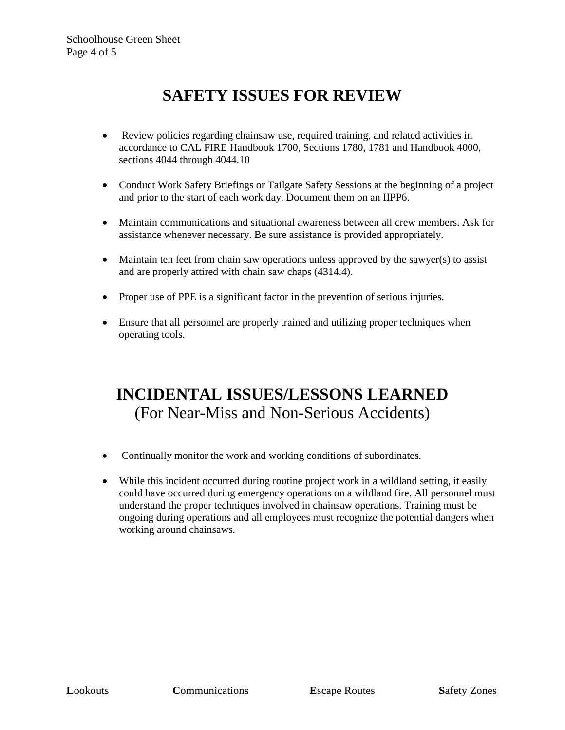# **SAFETY ISSUES FOR REVIEW**

- Review policies regarding chainsaw use, required training, and related activities in accordance to CAL FIRE Handbook 1700, Sections 1780, 1781 and Handbook 4000, sections 4044 through 4044.10
- Conduct Work Safety Briefings or Tailgate Safety Sessions at the beginning of a project and prior to the start of each work day. Document them on an IIPP6.
- Maintain communications and situational awareness between all crew members. Ask for assistance whenever necessary. Be sure assistance is provided appropriately.
- Maintain ten feet from chain saw operations unless approved by the sawyer(s) to assist and are properly attired with chain saw chaps (4314.4).
- Proper use of PPE is a significant factor in the prevention of serious injuries.
- Ensure that all personnel are properly trained and utilizing proper techniques when operating tools.

## **INCIDENTAL ISSUES/LESSONS LEARNED** (For Near-Miss and Non-Serious Accidents)

- Continually monitor the work and working conditions of subordinates.
- While this incident occurred during routine project work in a wildland setting, it easily could have occurred during emergency operations on a wildland fire. All personnel must understand the proper techniques involved in chainsaw operations. Training must be ongoing during operations and all employees must recognize the potential dangers when working around chainsaws.